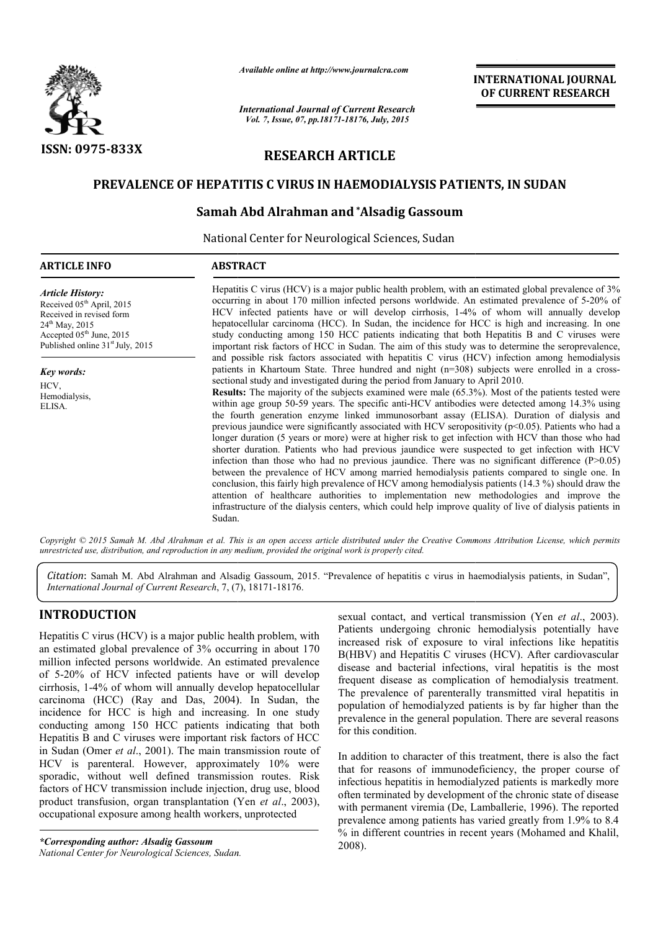

*Available online at http://www.journalcra.com*

*International Journal of Current Research Vol. 7, Issue, 07, pp.18171-18176, July, 2015*

# RESEARCH ARTICLE

# PREVALENCE OF HEPATITIS C VIRUS IN HAEMODIALYSIS PATIENTS, IN SUDAN

## Samah Abd Alrahman and\*Alsadig Gassoum

National Center for Neurological Sciences, Sudan

| <b>ARTICLE INFO</b>                                                                                                                                                                            | <b>ABSTRACT</b>                                                                                                                                                                                                                                                                                                                                                                                                                                                                                                                                                                                                                                                                                                                                                                                                                                                                                                                                                                                                                                                                                                                                                                                                                                                                                                                                                                                                                                  |  |  |
|------------------------------------------------------------------------------------------------------------------------------------------------------------------------------------------------|--------------------------------------------------------------------------------------------------------------------------------------------------------------------------------------------------------------------------------------------------------------------------------------------------------------------------------------------------------------------------------------------------------------------------------------------------------------------------------------------------------------------------------------------------------------------------------------------------------------------------------------------------------------------------------------------------------------------------------------------------------------------------------------------------------------------------------------------------------------------------------------------------------------------------------------------------------------------------------------------------------------------------------------------------------------------------------------------------------------------------------------------------------------------------------------------------------------------------------------------------------------------------------------------------------------------------------------------------------------------------------------------------------------------------------------------------|--|--|
| <b>Article History:</b><br>Received $05th$ April, 2015<br>Received in revised form<br>$24^{\text{th}}$ May, 2015<br>Accepted $05th$ June, 2015<br>Published online 31 <sup>st</sup> July, 2015 | Hepatitis C virus (HCV) is a major public health problem, with an estimated global prevalence of 3%<br>occurring in about 170 million infected persons worldwide. An estimated prevalence of 5-20% of<br>HCV infected patients have or will develop cirrhosis, 1-4% of whom will annually develop<br>hepatocellular carcinoma (HCC). In Sudan, the incidence for HCC is high and increasing. In one<br>study conducting among 150 HCC patients indicating that both Hepatitis B and C viruses were<br>important risk factors of HCC in Sudan. The aim of this study was to determine the seroprevalence,                                                                                                                                                                                                                                                                                                                                                                                                                                                                                                                                                                                                                                                                                                                                                                                                                                         |  |  |
| <b>Key words:</b><br>HCV,<br>Hemodialysis,<br>ELISA.                                                                                                                                           | and possible risk factors associated with hepatitis C virus (HCV) infection among hemodialysis<br>patients in Khartoum State. Three hundred and night $(n=308)$ subjects were enrolled in a cross-<br>sectional study and investigated during the period from January to April 2010.<br><b>Results:</b> The majority of the subjects examined were male (65.3%). Most of the patients tested were<br>within age group 50-59 years. The specific anti-HCV antibodies were detected among 14.3% using<br>the fourth generation enzyme linked immunosorbant assay (ELISA). Duration of dialysis and<br>previous jaundice were significantly associated with HCV seropositivity ( $p<0.05$ ). Patients who had a<br>longer duration (5 years or more) were at higher risk to get infection with HCV than those who had<br>shorter duration. Patients who had previous jaundice were suspected to get infection with HCV<br>infection than those who had no previous jaundice. There was no significant difference $(P>0.05)$<br>between the prevalence of HCV among married hemodialysis patients compared to single one. In<br>conclusion, this fairly high prevalence of HCV among hemodialysis patients (14.3 %) should draw the<br>attention of healthcare authorities to implementation new methodologies and improve the<br>infrastructure of the dialysis centers, which could help improve quality of live of dialysis patients in<br>Sudan. |  |  |

Citation: Samah M. Abd Alrahman and Alsadig Gassoum, 2015. "Prevalence of hepatitis c virus in haemodialysis patients, in Sudan", *International Journal of Current Research*, 7, (7), 18171-18176.

## INTRODUCTION

Hepatitis C virus (HCV) is a major public health problem, with an estimated global prevalence of 3% occurring in about 170 million infected persons worldwide. An estimated prevalence of 5-20% of HCV infected patients have or will develop cirrhosis, 1-4% of whom will annually develop hepatocellular of 5-20% of HCV infected patients have or will develop cirrhosis, 1-4% of whom will annually develop hepatocellular carcinoma (HCC) (Ray and Das, 2004). In Sudan, the incidence for HCC is high and increasing. In one study conducting among 150 HCC patients indicating that both Hepatitis B and C viruses were important risk factors of HCC in Sudan (Omer *et al*., 2001). The main transmission route of HCV is parenteral. However, approximately 10% were sporadic, without well defined transmission routes. Risk factors of HCV transmission include injection, drug use, blood product transfusion, organ transplantation (Yen *et al*., 2003), occupational exposure among health workers, unprotected

*\*Corresponding author: Alsadig Gassoum National Center for Neurological Sciences, Sudan Sudan.*

sexual contact, and vertical transmission (Yen *et al*., 2003). Patients undergoing chronic hemodialysis potentially have increased risk of exposure to viral infections like hepatitis B(HBV) and Hepatitis C viruses (HCV). After cardiovascular disease and bacterial infections, viral hepatitis is the most frequent disease as complication of hemodialysis treatment. The prevalence of parenterally transmitted viral hepatitis in population of hemodialyzed patients is by far higher than the prevalence in the general population. There are several reasons for this condition. exposure viral infections like hepatitis  $K$  consume to viral infections like hepatitis Hepatitis C viruses (HCV). After cardiovascular bacterial infections, viral hepatitis is the most ase as complication of hemodialysis

In addition to character of this treatment, there is also the fact that for reasons of immunodeficiency, the proper course of infectious hepatitis in hemodialyzed patients is markedly more often terminated by development of the chronic state of disease with permanent viremia (De, Lamballerie, 1996). The reported prevalence among patients has varied greatly from 1.9% to 8.4 prevalence among patients has varied greatly from 1.9% to 8.4 % in different countries in recent years (Mohamed and Khalil, 2008). prevalence of parenterally transmitted viral hepatitis in lation of hemodialyzed patients is by far higher than the ilence in the general population. There are several reasons is condition.<br>dition to character of this trea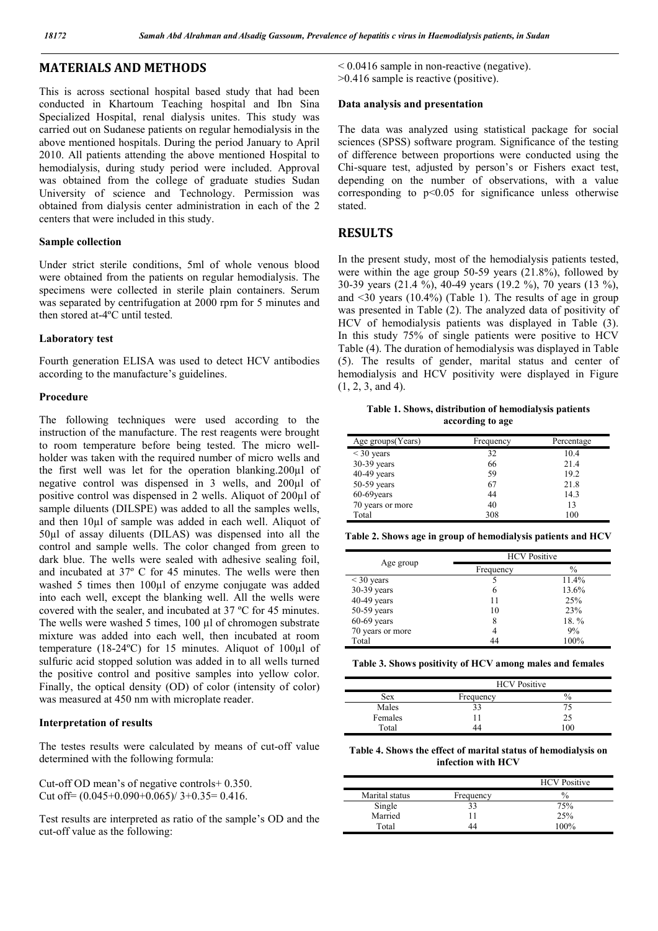## MATERIALS AND METHODS

This is across sectional hospital based study that had been conducted in Khartoum Teaching hospital and Ibn Sina Specialized Hospital, renal dialysis unites. This study was carried out on Sudanese patients on regular hemodialysis in the above mentioned hospitals. During the period January to April 2010. All patients attending the above mentioned Hospital to hemodialysis, during study period were included. Approval was obtained from the college of graduate studies Sudan University of science and Technology. Permission was obtained from dialysis center administration in each of the 2 centers that were included in this study.

#### Sample collection

Under strict sterile conditions, 5ml of whole venous blood were obtained from the patients on regular hemodialysis. The specimens were collected in sterile plain containers. Serum was separated by centrifugation at 2000 rpm for 5 minutes and then stored at-4ºC until tested.

#### Laboratory test

Fourth generation ELISA was used to detect HCV antibodies according to the manufacture's guidelines.

#### Procedure

The following techniques were used according to the instruction of the manufacture. The rest reagents were brought to room temperature before being tested. The micro wellholder was taken with the required number of micro wells and the first well was let for the operation blanking.200µl of negative control was dispensed in 3 wells, and 200µl of positive control was dispensed in 2 wells. Aliquot of 200µl of sample diluents (DILSPE) was added to all the samples wells, and then 10µl of sample was added in each well. Aliquot of 50µl of assay diluents (DILAS) was dispensed into all the control and sample wells. The color changed from green to dark blue. The wells were sealed with adhesive sealing foil, and incubated at 37º C for 45 minutes. The wells were then washed 5 times then 100µl of enzyme conjugate was added into each well, except the blanking well. All the wells were covered with the sealer, and incubated at 37 ºC for 45 minutes. The wells were washed 5 times, 100 µl of chromogen substrate mixture was added into each well, then incubated at room temperature (18-24ºC) for 15 minutes. Aliquot of 100µl of sulfuric acid stopped solution was added in to all wells turned the positive control and positive samples into yellow color. Finally, the optical density (OD) of color (intensity of color) was measured at 450 nm with microplate reader.

#### Interpretation of results

The testes results were calculated by means of cut-off value determined with the following formula:

Cut-off OD mean's of negative controls+ 0.350. Cut off=  $(0.045+0.090+0.065)/3+0.35=0.416$ .

Test results are interpreted as ratio of the sample's OD and the cut-off value as the following:

< 0.0416 sample in non-reactive (negative). >0.416 sample is reactive (positive).

# Data analysis and presentation

The data was analyzed using statistical package for social sciences (SPSS) software program. Significance of the testing of difference between proportions were conducted using the Chi-square test, adjusted by person's or Fishers exact test, depending on the number of observations, with a value corresponding to  $p<0.05$  for significance unless otherwise stated.

### RESULTS

In the present study, most of the hemodialysis patients tested, were within the age group 50-59 years (21.8%), followed by 30-39 years (21.4 %), 40-49 years (19.2 %), 70 years (13 %), and  $\leq$ 30 years (10.4%) (Table 1). The results of age in group was presented in Table (2). The analyzed data of positivity of HCV of hemodialysis patients was displayed in Table (3). In this study 75% of single patients were positive to HCV Table (4). The duration of hemodialysis was displayed in Table (5). The results of gender, marital status and center of hemodialysis and HCV positivity were displayed in Figure (1, 2, 3, and 4).

Table 1. Shows, distribution of hemodialysis patients according to age

| Age groups(Years) | Frequency | Percentage |
|-------------------|-----------|------------|
| $\leq$ 30 years   | 32        | 10.4       |
| $30-39$ years     | 66        | 21.4       |
| $40-49$ years     | 59        | 19.2       |
| $50-59$ years     | 67        | 21.8       |
| 60-69 years       | 44        | 14.3       |
| 70 years or more  | 40        | 13         |
| Total             | 308       | 100        |

|  | Table 2. Shows age in group of hemodialysis patients and $\rm{HCV}$ |  |  |
|--|---------------------------------------------------------------------|--|--|
|  |                                                                     |  |  |

|                  | <b>HCV</b> Positive |               |  |
|------------------|---------------------|---------------|--|
| Age group        | Frequency           | $\frac{0}{0}$ |  |
| $\leq$ 30 years  |                     | 11.4%         |  |
| 30-39 years      | 6                   | 13.6%         |  |
| $40-49$ years    | 11                  | 25%           |  |
| $50-59$ years    | 10                  | 23%           |  |
| $60-69$ years    | 8                   | 18.%          |  |
| 70 years or more | 4                   | 9%            |  |
| Total            | 44                  | 100%          |  |

Table 3. Shows positivity of HCV among males and females

|         | <b>HCV</b> Positive |    |  |
|---------|---------------------|----|--|
| Sex     | Frequency           | 70 |  |
| Males   | 33                  |    |  |
| Females |                     | 25 |  |
| Total   |                     | 00 |  |

Table 4. Shows the effect of marital status of hemodialysis on infection with HCV

|                |           | <b>HCV</b> Positive |
|----------------|-----------|---------------------|
| Marital status | Frequency | $\%$                |
| Single         | 33        | 75%                 |
| Married        | 11        | 25%                 |
| Total          | 44        | 100%                |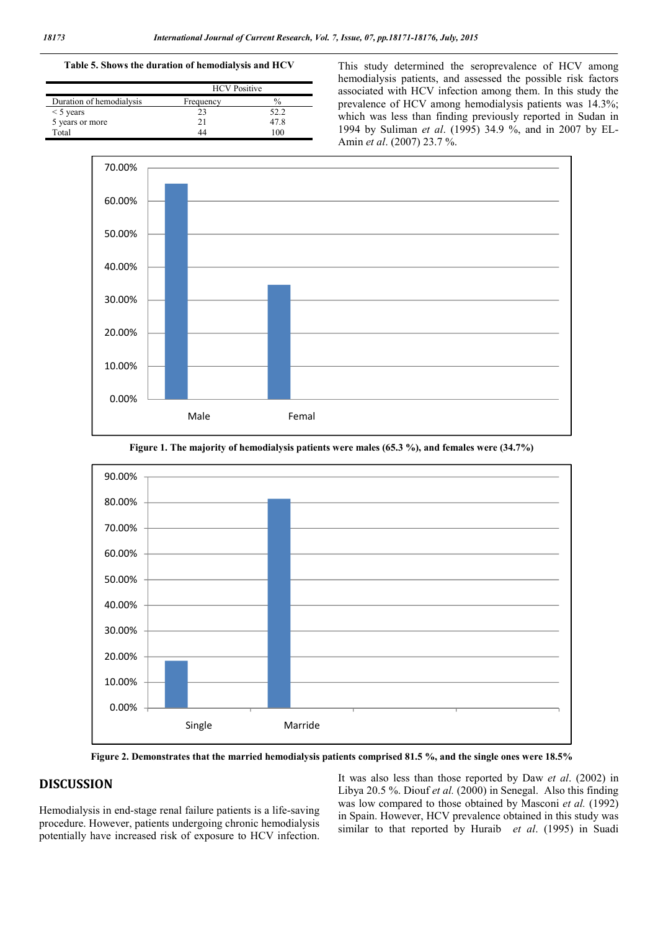### Table 5. Shows the duration of hemodialysis and HCV

|                          | <b>HCV</b> Positive |               |  |
|--------------------------|---------------------|---------------|--|
| Duration of hemodialysis | Frequency           | $\frac{0}{0}$ |  |
| $\leq$ 5 years           |                     | 52.2          |  |
| 5 years or more          |                     | 47 8          |  |
| Total                    |                     | 00            |  |

This study determined the seroprevalence of HCV among hemodialysis patients, and assessed the possible risk factors associated with HCV infection among them. In this study the prevalence of HCV among hemodialysis patients was 14.3%; which was less than finding previously reported in Sudan in 1994 by Suliman *et al*. (1995) 34.9 %, and in 2007 by EL-Amin *et al*. (2007) 23.7 %.





Figure 1. The majority of hemodialysis patients were males (65.3 %), and females were (34.7%)

Figure 2. Demonstrates that the married hemodialysis patients comprised 81.5 %, and the single ones were 18.5%

# **DISCUSSION**

Hemodialysis in end-stage renal failure patients is a life-saving procedure. However, patients undergoing chronic hemodialysis potentially have increased risk of exposure to HCV infection. It was also less than those reported by Daw *et al*. (2002) in Libya 20.5 %. Diouf *et al.* (2000) in Senegal. Also this finding was low compared to those obtained by Masconi *et al.* (1992) in Spain. However, HCV prevalence obtained in this study was similar to that reported by Huraib *et al*. (1995) in Suadi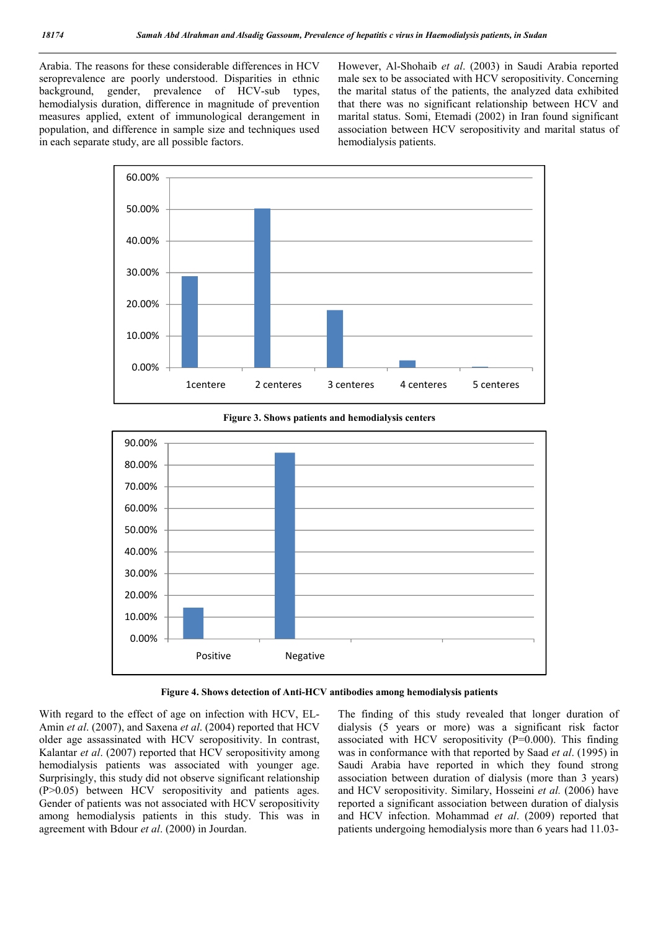Arabia. The reasons for these considerable differences in HCV seroprevalence are poorly understood. Disparities in ethnic background, gender, prevalence of HCV-sub types, hemodialysis duration, difference in magnitude of prevention measures applied, extent of immunological derangement in population, and difference in sample size and techniques used in each separate study, are all possible factors.

However, Al-Shohaib *et al*. (2003) in Saudi Arabia reported male sex to be associated with HCV seropositivity. Concerning the marital status of the patients, the analyzed data exhibited that there was no significant relationship between HCV and marital status. Somi, Etemadi (2002) in Iran found significant association between HCV seropositivity and marital status of hemodialysis patients.



Figure 3. Shows patients and hemodialysis centers



Figure 4. Shows detection of Anti-HCV antibodies among hemodialysis patients

With regard to the effect of age on infection with HCV, EL-Amin *et al*. (2007), and Saxena *et al*. (2004) reported that HCV older age assassinated with HCV seropositivity. In contrast, Kalantar *et al*. (2007) reported that HCV seropositivity among hemodialysis patients was associated with younger age. Surprisingly, this study did not observe significant relationship (P>0.05) between HCV seropositivity and patients ages. Gender of patients was not associated with HCV seropositivity among hemodialysis patients in this study. This was in agreement with Bdour *et al*. (2000) in Jourdan.

The finding of this study revealed that longer duration of dialysis (5 years or more) was a significant risk factor associated with HCV seropositivity (P=0.000). This finding was in conformance with that reported by Saad *et al*. (1995) in Saudi Arabia have reported in which they found strong association between duration of dialysis (more than 3 years) and HCV seropositivity. Similary, Hosseini *et al.* (2006) have reported a significant association between duration of dialysis and HCV infection. Mohammad *et al*. (2009) reported that patients undergoing hemodialysis more than 6 years had 11.03-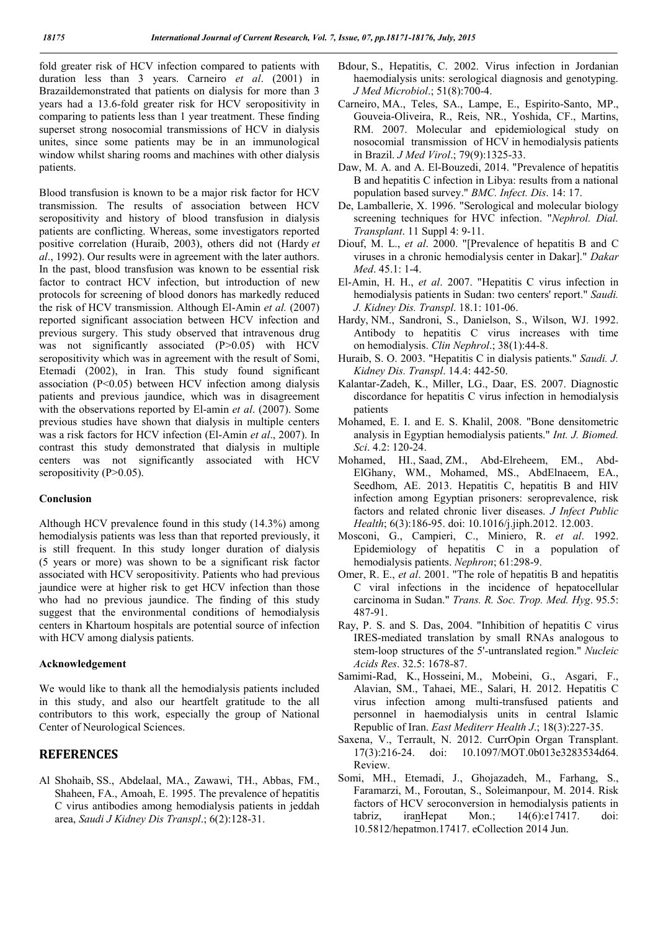fold greater risk of HCV infection compared to patients with duration less than 3 years. Carneiro *et al*. (2001) in Brazaildemonstrated that patients on dialysis for more than 3 years had a 13.6-fold greater risk for HCV seropositivity in comparing to patients less than 1 year treatment. These finding superset strong nosocomial transmissions of HCV in dialysis unites, since some patients may be in an immunological window whilst sharing rooms and machines with other dialysis patients.

Blood transfusion is known to be a major risk factor for HCV transmission. The results of association between HCV seropositivity and history of blood transfusion in dialysis patients are conflicting. Whereas, some investigators reported positive correlation (Huraib, 2003), others did not (Hardy *et al*., 1992). Our results were in agreement with the later authors. In the past, blood transfusion was known to be essential risk factor to contract HCV infection, but introduction of new protocols for screening of blood donors has markedly reduced the risk of HCV transmission. Although El-Amin *et al.* (2007) reported significant association between HCV infection and previous surgery. This study observed that intravenous drug was not significantly associated (P>0.05) with HCV seropositivity which was in agreement with the result of Somi, Etemadi (2002), in Iran. This study found significant association (P<0.05) between HCV infection among dialysis patients and previous jaundice, which was in disagreement with the observations reported by El-amin *et al*. (2007). Some previous studies have shown that dialysis in multiple centers was a risk factors for HCV infection (El-Amin *et al*., 2007). In contrast this study demonstrated that dialysis in multiple centers was not significantly associated with HCV seropositivity (P>0.05).

#### Conclusion

Although HCV prevalence found in this study (14.3%) among hemodialysis patients was less than that reported previously, it is still frequent. In this study longer duration of dialysis (5 years or more) was shown to be a significant risk factor associated with HCV seropositivity. Patients who had previous jaundice were at higher risk to get HCV infection than those who had no previous jaundice. The finding of this study suggest that the environmental conditions of hemodialysis centers in Khartoum hospitals are potential source of infection with HCV among dialysis patients.

### Acknowledgement

We would like to thank all the hemodialysis patients included in this study, and also our heartfelt gratitude to the all contributors to this work, especially the group of National Center of Neurological Sciences.

## **REFERENCES**

Al Shohaib, SS., Abdelaal, MA., Zawawi, TH., Abbas, FM., Shaheen, FA., Amoah, E. 1995. The prevalence of hepatitis C virus antibodies among hemodialysis patients in jeddah area, *Saudi J Kidney Dis Transpl*.; 6(2):128-31.

- Bdour, S., Hepatitis, C. 2002. Virus infection in Jordanian haemodialysis units: serological diagnosis and genotyping. *J Med Microbiol*.; 51(8):700-4.
- Carneiro, MA., Teles, SA., Lampe, E., Espírito-Santo, MP., Gouveia-Oliveira, R., Reis, NR., Yoshida, CF., Martins, RM. 2007. Molecular and epidemiological study on nosocomial transmission of HCV in hemodialysis patients in Brazil. *J Med Virol*.; 79(9):1325-33.
- Daw, M. A. and A. El-Bouzedi, 2014. "Prevalence of hepatitis B and hepatitis C infection in Libya: results from a national population based survey." *BMC. Infect. Dis*. 14: 17.
- De, Lamballerie, X. 1996. "Serological and molecular biology screening techniques for HVC infection. "*Nephrol. Dial. Transplant*. 11 Suppl 4: 9-11.
- Diouf, M. L., *et al*. 2000. "[Prevalence of hepatitis B and C viruses in a chronic hemodialysis center in Dakar]." *Dakar Med*. 45.1: 1-4.
- El-Amin, H. H., *et al*. 2007. "Hepatitis C virus infection in hemodialysis patients in Sudan: two centers' report." *Saudi. J. Kidney Dis. Transpl*. 18.1: 101-06.
- Hardy, NM., Sandroni, S., Danielson, S., Wilson, WJ. 1992. Antibody to hepatitis C virus increases with time on hemodialysis. *Clin Nephrol*.; 38(1):44-8.
- Huraib, S. O. 2003. "Hepatitis C in dialysis patients." *Saudi. J. Kidney Dis. Transpl*. 14.4: 442-50.
- Kalantar-Zadeh, K., Miller, LG., Daar, ES. 2007. Diagnostic discordance for hepatitis C virus infection in hemodialysis patients
- Mohamed, E. I. and E. S. Khalil, 2008. "Bone densitometric analysis in Egyptian hemodialysis patients." *Int. J. Biomed. Sci*. 4.2: 120-24.
- Mohamed, HI., Saad, ZM., Abd-Elreheem, EM., Abd-ElGhany, WM., Mohamed, MS., AbdElnaeem, EA., Seedhom, AE. 2013. Hepatitis C, hepatitis B and HIV infection among Egyptian prisoners: seroprevalence, risk factors and related chronic liver diseases. *J Infect Public Health*; 6(3):186-95. doi: 10.1016/j.jiph.2012. 12.003.
- Mosconi, G., Campieri, C., Miniero, R. *et al*. 1992. Epidemiology of hepatitis C in a population of hemodialysis patients. *Nephron*; 61:298-9.
- Omer, R. E., *et al*. 2001. "The role of hepatitis B and hepatitis C viral infections in the incidence of hepatocellular carcinoma in Sudan." *Trans. R. Soc. Trop. Med. Hyg*. 95.5: 487-91.
- Ray, P. S. and S. Das, 2004. "Inhibition of hepatitis C virus IRES-mediated translation by small RNAs analogous to stem-loop structures of the 5'-untranslated region." *Nucleic Acids Res*. 32.5: 1678-87.
- Samimi-Rad, K., Hosseini, M., Mobeini, G., Asgari, F., Alavian, SM., Tahaei, ME., Salari, H. 2012. Hepatitis C virus infection among multi-transfused patients and personnel in haemodialysis units in central Islamic Republic of Iran. *East Mediterr Health J*.; 18(3):227-35.
- Saxena, V., Terrault, N. 2012. CurrOpin Organ Transplant. 17(3):216-24. doi: 10.1097/MOT.0b013e3283534d64. Review.
- Somi, MH., Etemadi, J., Ghojazadeh, M., Farhang, S., Faramarzi, M., Foroutan, S., Soleimanpour, M. 2014. Risk factors of HCV seroconversion in hemodialysis patients in tabriz, iranHepat Mon.; 14(6):e17417. doi: 10.5812/hepatmon.17417. eCollection 2014 Jun.